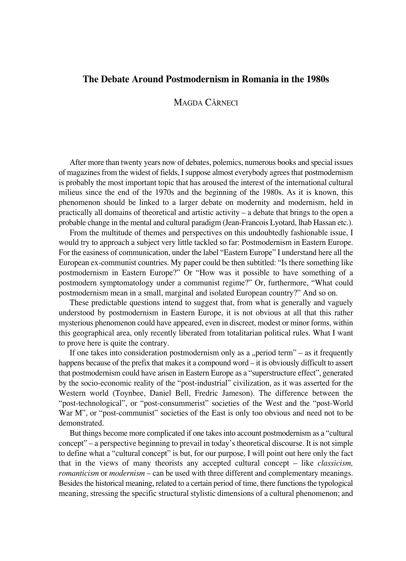## **The Debate Around Postmodernism in Romania in the 1980s**

## MAGDA CÂRNECI

After more than twenty years now of debates, polemics, numerous books and special issues of magazines from the widest of fields, I suppose almost everybody agrees that postmodernism is probably the most important topic that has aroused the interest of the international cultural milieus since the end of the 1970s and the beginning of the 1980s. As it is known, this phenomenon should be linked to a larger debate on modernity and modernism, held in practically all domains of theoretical and artistic activity – a debate that brings to the open a probable change in the mental and cultural paradigm (Jean-Francois Lyotard, lhab Hassan etc.).

From the multitude of themes and perspectives on this undoubtedly fashionable issue, I would try to approach a subject very little tackled so far: Postmodernism in Eastern Europe. For the easiness of communication, under the label "Eastern Europe" I understand here all the European ex-communist countries. My paper could be then subtitled: "Is there something like postmodernism in Eastern Europe?" Or "How was it possible to have something of a postmodern symptomatology under a communist regime?" Or, furthermore, "What could postmodernism mean in a small, marginal and isolated European country?" And so on.

These predictable questions intend to suggest that, from what is generally and vaguely understood by postmodernism in Eastern Europe, it is not obvious at all that this rather mysterious phenomenon could have appeared, even in discreet, modest or minor forms, within this geographical area, only recently liberated from totalitarian political rules. What I want to prove here is quite the contrary.

If one takes into consideration postmodernism only as a "period term" – as it frequently happens because of the prefix that makes it a compound word – it is obviously difficult to assert that postmodernism could have arisen in Eastern Europe as a "superstructure effect", generated by the socio-economic reality of the "post-industrial" civilization, as it was asserted for the Western world (Toynbee, Daniel Bell, Fredric Jameson). The difference between the "post-technological", or "post-consummerist" societies of the West and the "post-World War M", or "post-communist" societies of the East is only too obvious and need not to be demonstrated.

But things become more complicated if one takes into account postmodernism as a "cultural concept" – a perspective beginning to prevail in today's theoretical discourse. It is not simple to define what a "cultural concept" is but, for our purpose, I will point out here only the fact that in the views of many theorists any accepted cultural concept – like *classicism, romanticism* or *modernism* – can be used with three different and complementary meanings. Besides the historical meaning, related to a certain period of time, there functions the typological meaning, stressing the specific structural stylistic dimensions of a cultural phenomenon; and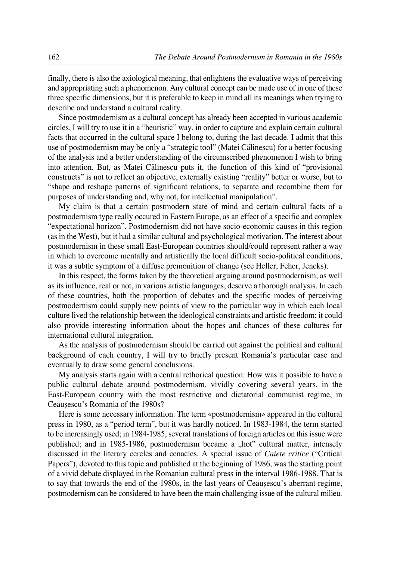finally, there is also the axiological meaning, that enlightens the evaluative ways of perceiving and appropriating such a phenomenon. Any cultural concept can be made use of in one of these three specific dimensions, but it is preferable to keep in mind all its meanings when trying to describe and understand a cultural reality.

Since postmodernism as a cultural concept has already been accepted in various academic circles, I will try to use it in a "heuristic" way, in order to capture and explain certain cultural facts that occurred in the cultural space I belong to, during the last decade. I admit that this use of postmodernism may be only a "strategic tool" (Matei Călinescu) for a better focusing of the analysis and a better understanding of the circumscribed phenomenon I wish to bring into attention. But, as Matei Călinescu puts it, the function of this kind of "provisional constructs" is not to reflect an objective, externally existing "reality" better or worse, but to "shape and reshape patterns of significant relations, to separate and recombine them for purposes of understanding and, why not, for intellectual manipulation".

My claim is that a certain postmodern state of mind and certain cultural facts of a postmodernism type really occured in Eastern Europe, as an effect of a specific and complex "expectational horizon". Postmodernism did not have socio-economic causes in this region (as in the West), but it had a similar cultural and psychological motivation. The interest about postmodernism in these small East-European countries should/could represent rather a way in which to overcome mentally and artistically the local difficult socio-political conditions, it was a subtle symptom of a diffuse premonition of change (see Heller, Feher, Jencks).

In this respect, the forms taken by the theoretical arguing around postmodernism, as well as its influence, real or not, in various artistic languages, deserve a thorough analysis. In each of these countries, both the proportion of debates and the specific modes of perceiving postmodernism could supply new points of view to the particular way in which each local culture lived the relationship between the ideological constraints and artistic freedom: it could also provide interesting information about the hopes and chances of these cultures for international cultural integration.

As the analysis of postmodernism should be carried out against the political and cultural background of each country, I will try to briefly present Romania's particular case and eventually to draw some general conclusions.

My analysis starts again with a central rethorical question: How was it possible to have a public cultural debate around postmodernism, vividly covering several years, in the East-European country with the most restrictive and dictatorial communist regime, in Ceausescu's Romania of the 1980s?

Here is some necessary information. The term «postmodernism» appeared in the cultural press in 1980, as a "period term", but it was hardly noticed. In 1983-1984, the term started to be increasingly used; in 1984-1985, several translations of foreign articles on this issue were published; and in 1985-1986, postmodernism became a "hot" cultural matter, intensely discussed in the literary cercles and cenacles. A special issue of *Caiete critice* ("Critical Papers"), devoted to this topic and published at the beginning of 1986, was the starting point of a vivid debate displayed in the Romanian cultural press in the interval 1986-1988. That is to say that towards the end of the 1980s, in the last years of Ceausescu's aberrant regime, postmodernism can be considered to have been the main challenging issue of the cultural milieu.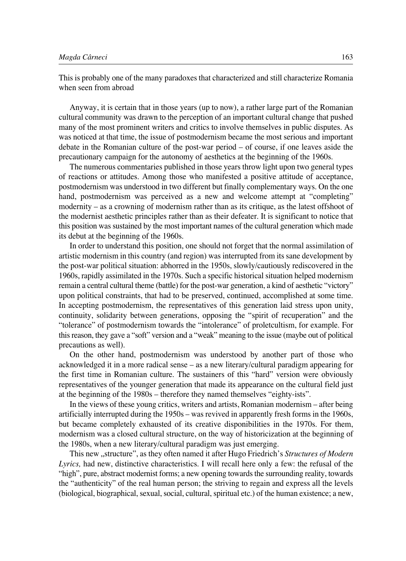This is probably one of the many paradoxes that characterized and still characterize Romania when seen from abroad

Anyway, it is certain that in those years (up to now), a rather large part of the Romanian cultural community was drawn to the perception of an important cultural change that pushed many of the most prominent writers and critics to involve themselves in public disputes. As was noticed at that time, the issue of postmodernism became the most serious and important debate in the Romanian culture of the post-war period  $-$  of course, if one leaves aside the precautionary campaign for the autonomy of aesthetics at the beginning of the 1960s.

The numerous commentaries published in those years throw light upon two general types of reactions or attitudes. Among those who manifested a positive attitude of acceptance, postmodernism was understood in two different but finally complementary ways. On the one hand, postmodernism was perceived as a new and welcome attempt at "completing" modernity – as a crowning of modernism rather than as its critique, as the latest offshoot of the modernist aesthetic principles rather than as their defeater. It is significant to notice that this position was sustained by the most important names of the cultural generation which made its debut at the beginning of the 1960s.

In order to understand this position, one should not forget that the normal assimilation of artistic modernism in this country (and region) was interrupted from its sane development by the post-war political situation: abhorred in the 1950s, slowly/cautiously rediscovered in the 1960s, rapidly assimilated in the 1970s. Such a specific historical situation helped modernism remain a central cultural theme (battle) for the post-war generation, a kind of aesthetic "victory" upon political constraints, that had to be preserved, continued, accomplished at some time. In accepting postmodernism, the representatives of this generation laid stress upon unity, continuity, solidarity between generations, opposing the "spirit of recuperation" and the "tolerance" of postmodernism towards the "intolerance" of proletcultism, for example. For this reason, they gave a "soft" version and a "weak" meaning to the issue (maybe out of political precautions as well).

On the other hand, postmodernism was understood by another part of those who acknowledged it in a more radical sense – as a new literary/cultural paradigm appearing for the first time in Romanian culture. The sustainers of this "hard" version were obviously representatives of the younger generation that made its appearance on the cultural field just at the beginning of the 1980s – therefore they named themselves "eighty-ists".

In the views of these young critics, writers and artists, Romanian modernism – after being artificially interrupted during the 1950s – was revived in apparently fresh forms in the 1960s, but became completely exhausted of its creative disponibilities in the 1970s. For them, modernism was a closed cultural structure, on the way of historicization at the beginning of the 1980s, when a new literary/cultural paradigm was just emerging.

This new "structure", as they often named it after Hugo Friedrich's *Structures of Modern Lyrics,* had new, distinctive characteristics. I will recall here only a few: the refusal of the "high", pure, abstract modernist forms; a new opening towards the surrounding reality, towards the "authenticity" of the real human person; the striving to regain and express all the levels (biological, biographical, sexual, social, cultural, spiritual etc.) of the human existence; a new,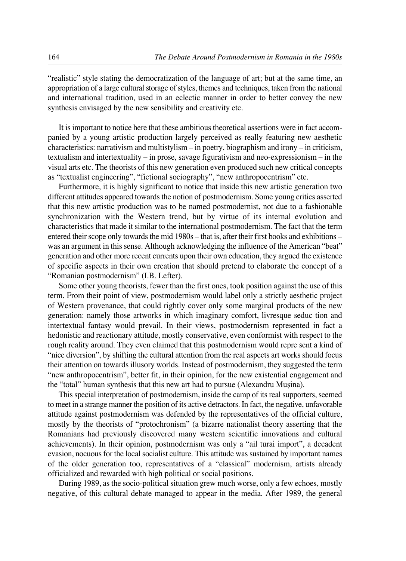"realistic" style stating the democratization of the language of art; but at the same time, an appropriation of a large cultural storage of styles, themes and techniques, taken from the national and international tradition, used in an eclectic manner in order to better convey the new synthesis envisaged by the new sensibility and creativity etc.

It is important to notice here that these ambitious theoretical assertions were in fact accompanied by a young artistic production largely perceived as really featuring new aesthetic characteristics: narrativism and multistylism – in poetry, biographism and irony – in criticism, textualism and intertextuality – in prose, savage figurativism and neo-expressionism – in the visual arts etc. The theorists of this new generation even produced such new critical concepts as "textualist engineering", "fictional sociography", "new anthropocentrism" etc.

Furthermore, it is highly significant to notice that inside this new artistic generation two different attitudes appeared towards the notion of postmodernism. Some young critics asserted that this new artistic production was to be named postmodernist, not due to a fashionable synchronization with the Western trend, but by virtue of its internal evolution and characteristics that made it similar to the international postmodernism. The fact that the term entered their scope only towards the mid 1980s – that is, after their first books and exhibitions – was an argument in this sense. Although acknowledging the influence of the American "beat" generation and other more recent currents upon their own education, they argued the existence of specific aspects in their own creation that should pretend to elaborate the concept of a "Romanian postmodernism" (I.B. Lefter).

Some other young theorists, fewer than the first ones, took position against the use of this term. From their point of view, postmodernism would label only a strictly aesthetic project of Western provenance, that could rightly cover only some marginal products of the new generation: namely those artworks in which imaginary comfort, livresque seduc tion and intertextual fantasy would prevail. In their views, postmodernism represented in fact a hedonistic and reactionary attitude, mostly conservative, even conformist with respect to the rough reality around. They even claimed that this postmodernism would repre sent a kind of "nice diversion", by shifting the cultural attention from the real aspects art works should focus their attention on towards illusory worlds. Instead of postmodernism, they suggested the term "new anthropocentrism", better fit, in their opinion, for the new existential engagement and the "total" human synthesis that this new art had to pursue (Alexandru Musina).

This special interpretation of postmodernism, inside the camp of its real supporters, seemed to meet in a strange manner the position of its active detractors. In fact, the negative, unfavorable attitude against postmodernism was defended by the representatives of the official culture, mostly by the theorists of "protochronism" (a bizarre nationalist theory asserting that the Romanians had previously discovered many western scientific innovations and cultural achievements). In their opinion, postmodernism was only a "ail turai import", a decadent evasion, nocuous for the local socialist culture. This attitude was sustained by important names of the older generation too, representatives of a "classical" modernism, artists already officialized and rewarded with high political or social positions.

During 1989, as the socio-political situation grew much worse, only a few echoes, mostly negative, of this cultural debate managed to appear in the media. After 1989, the general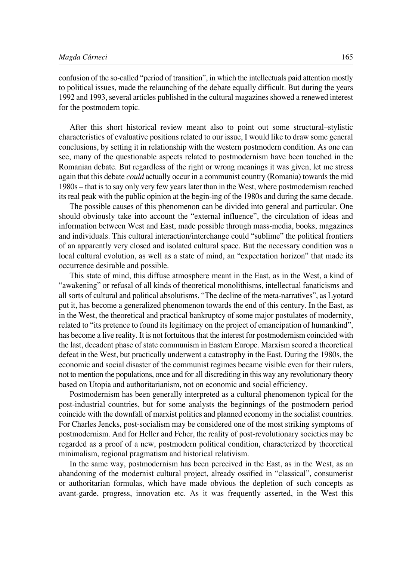confusion of the so-called "period of transition", in which the intellectuals paid attention mostly to political issues, made the relaunching of the debate equally difficult. But during the years 1992 and 1993, several articles published in the cultural magazines showed a renewed interest for the postmodern topic.

After this short historical review meant also to point out some structural–stylistic characteristics of evaluative positions related to our issue, I would like to draw some general conclusions, by setting it in relationship with the western postmodern condition. As one can see, many of the questionable aspects related to postmodernism have been touched in the Romanian debate. But regardless of the right or wrong meanings it was given, let me stress again that this debate *could* actually occur in a communist country (Romania) towards the mid 1980s – that is to say only very few years later than in the West, where postmodernism reached its real peak with the public opinion at the begin-ing of the 1980s and during the same decade.

The possible causes of this phenomenon can be divided into general and particular. One should obviously take into account the "external influence", the circulation of ideas and information between West and East, made possible through mass-media, books, magazines and individuals. This cultural interaction/interchange could "sublime" the political frontiers of an apparently very closed and isolated cultural space. But the necessary condition was a local cultural evolution, as well as a state of mind, an "expectation horizon" that made its occurrence desirable and possible.

This state of mind, this diffuse atmosphere meant in the East, as in the West, a kind of "awakening" or refusal of all kinds of theoretical monolithisms, intellectual fanaticisms and all sorts of cultural and political absolutisms. "The decline of the meta-narratives", as Lyotard put it, has become a generalized phenomenon towards the end of this century. In the East, as in the West, the theoretical and practical bankruptcy of some major postulates of modernity, related to "its pretence to found its legitimacy on the project of emancipation of humankind", has become a live reality. It is not fortuitous that the interest for postmodernism coincided with the last, decadent phase of state communism in Eastern Europe. Marxism scored a theoretical defeat in the West, but practically underwent a catastrophy in the East. During the 1980s, the economic and social disaster of the communist regimes became visible even for their rulers, not to mention the populations, once and for all discrediting in this way any revolutionary theory based on Utopia and authoritarianism, not on economic and social efficiency.

Postmodernism has been generally interpreted as a cultural phenomenon typical for the post-industrial countries, but for some analysts the beginnings of the postmodern period coincide with the downfall of marxist politics and planned economy in the socialist countries. For Charles Jencks, post-socialism may be considered one of the most striking symptoms of postmodernism. And for Heller and Feher, the reality of post-revolutionary societies may be regarded as a proof of a new, postmodern political condition, characterized by theoretical minimalism, regional pragmatism and historical relativism.

In the same way, postmodernism has been perceived in the East, as in the West, as an abandoning of the modernist cultural project, already ossified in "classical", consumerist or authoritarian formulas, which have made obvious the depletion of such concepts as avant-garde, progress, innovation etc. As it was frequently asserted, in the West this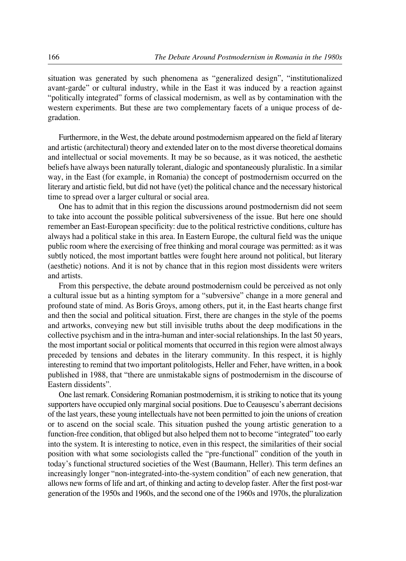situation was generated by such phenomena as "generalized design", "institutionalized avant-garde" or cultural industry, while in the East it was induced by a reaction against "politically integrated" forms of classical modernism, as well as by contamination with the western experiments. But these are two complementary facets of a unique process of degradation.

Furthermore, in the West, the debate around postmodernism appeared on the field af literary and artistic (architectural) theory and extended later on to the most diverse theoretical domains and intellectual or social movements. It may be so because, as it was noticed, the aesthetic beliefs have always been naturally tolerant, dialogic and spontaneously pluralistic. In a similar way, in the East (for example, in Romania) the concept of postmodernism occurred on the literary and artistic field, but did not have (yet) the political chance and the necessary historical time to spread over a larger cultural or social area.

One has to admit that in this region the discussions around postmodernism did not seem to take into account the possible political subversiveness of the issue. But here one should remember an East-European specificity: due to the political restrictive conditions, culture has always had a political stake in this area. In Eastern Europe, the cultural field was the unique public room where the exercising of free thinking and moral courage was permitted: as it was subtly noticed, the most important battles were fought here around not political, but literary (aesthetic) notions. And it is not by chance that in this region most dissidents were writers and artists.

From this perspective, the debate around postmodernism could be perceived as not only a cultural issue but as a hinting symptom for a "subversive" change in a more general and profound state of mind. As Boris Groys, among others, put it, in the East hearts change first and then the social and political situation. First, there are changes in the style of the poems and artworks, conveying new but still invisible truths about the deep modifications in the collective psychism and in the intra-human and inter-social relationships. In the last 50 years, the most important social or political moments that occurred in this region were almost always preceded by tensions and debates in the literary community. In this respect, it is highly interesting to remind that two important politologists, Heller and Feher, have written, in a book published in 1988, that "there are unmistakable signs of postmodernism in the discourse of Eastern dissidents".

One last remark. Considering Romanian postmodernism, it is striking to notice that its young supporters have occupied only marginal social positions. Due to Ceausescu's aberrant decisions of the last years, these young intellectuals have not been permitted to join the unions of creation or to ascend on the social scale. This situation pushed the young artistic generation to a function-free condition, that obliged but also helped them not to become "integrated" too early into the system. It is interesting to notice, even in this respect, the similarities of their social position with what some sociologists called the "pre-functional" condition of the youth in today's functional structured societies of the West (Baumann, Heller). This term defines an increasingly longer "non-integrated-into-the-system condition" of each new generation, that allows new forms of life and art, of thinking and acting to develop faster. After the first post-war generation of the 1950s and 1960s, and the second one of the 1960s and 1970s, the pluralization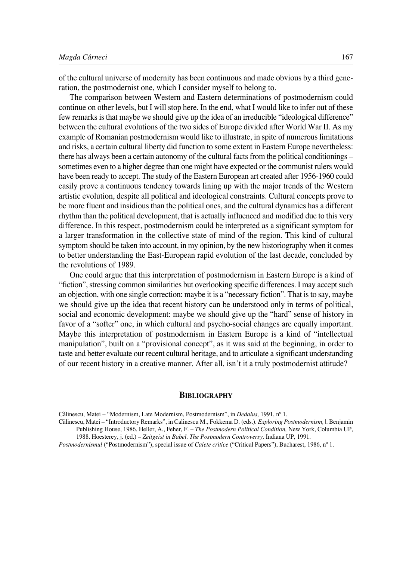of the cultural universe of modernity has been continuous and made obvious by a third generation, the postmodernist one, which I consider myself to belong to.

The comparison between Western and Eastern determinations of postmodernism could continue on other levels, but I will stop here. In the end, what I would like to infer out of these few remarks is that maybe we should give up the idea of an irreducible "ideological difference" between the cultural evolutions of the two sides of Europe divided after World War II. As my example of Romanian postmodernism would like to illustrate, in spite of numerous limitations and risks, a certain cultural liberty did function to some extent in Eastern Europe nevertheless: there has always been a certain autonomy of the cultural facts from the political conditionings – sometimes even to a higher degree than one might have expected or the communist rulers would have been ready to accept. The study of the Eastern European art created after 1956-1960 could easily prove a continuous tendency towards lining up with the major trends of the Western artistic evolution, despite all political and ideological constraints. Cultural concepts prove to be more fluent and insidious than the political ones, and the cultural dynamics has a different rhythm than the political development, that is actually influenced and modified due to this very difference. In this respect, postmodernism could be interpreted as a significant symptom for a larger transformation in the collective state of mind of the region. This kind of cultural symptom should be taken into account, in my opinion, by the new historiography when it comes to better understanding the East-European rapid evolution of the last decade, concluded by the revolutions of 1989.

One could argue that this interpretation of postmodernism in Eastern Europe is a kind of "fiction", stressing common similarities but overlooking specific differences. I may accept such an objection, with one single correction: maybe it is a "necessary fiction". That is to say, maybe we should give up the idea that recent history can be understood only in terms of political, social and economic development: maybe we should give up the "hard" sense of history in favor of a "softer" one, in which cultural and psycho-social changes are equally important. Maybe this interpretation of postmodernism in Eastern Europe is a kind of "intellectual manipulation", built on a "provisional concept", as it was said at the beginning, in order to taste and better evaluate our recent cultural heritage, and to articulate a significant understanding of our recent history in a creative manner. After all, isn't it a truly postmodernist attitude?

## **BIBLIOGRAPHY**

Cælinescu, Matei – "Modernism, Late Modernism, Postmodernism", in *Dedalus,* 1991, nº 1.

Cælinescu, Matei – "Introductory Remarks", in Calinescu M., Fokkema D. (eds.). *Exploring Postmodernism,* |. Benjamin Publishing House, 1986. Heller, A., Feher, F. – *The Postmodern Political Condition,* New York, Columbia UP, 1988. Hoesterey, j. (ed.) – *Zeitgeist in Babel. The Postmodern Controversy,* Indiana UP, 1991.

*Postmodernismul* ("Postmodernism"), special issue of *Caiete critice* ("Critical Papers"), Bucharest, 1986, nº 1.